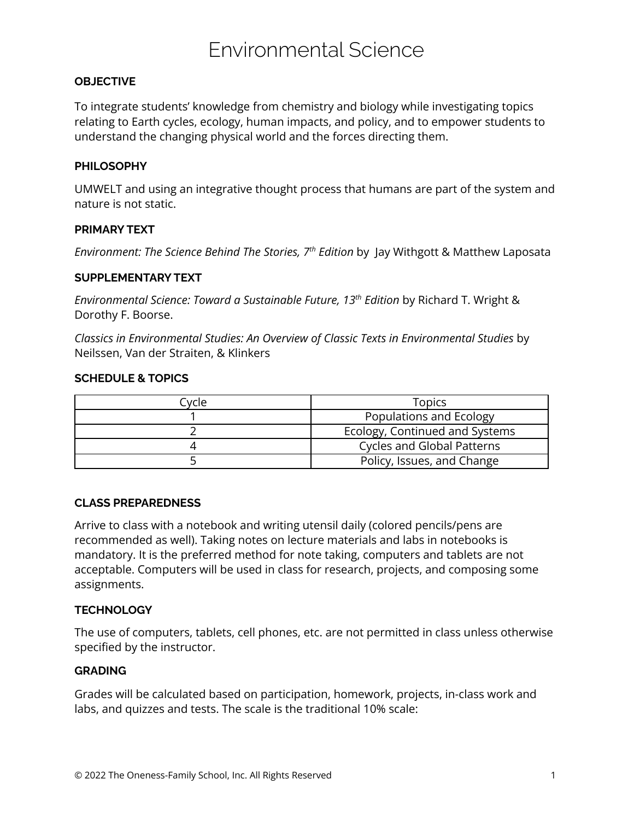# Environmental Science

# **OBJECTIVE**

To integrate students' knowledge from chemistry and biology while investigating topics relating to Earth cycles, ecology, human impacts, and policy, and to empower students to understand the changing physical world and the forces directing them.

# **PHILOSOPHY**

UMWELT and using an integrative thought process that humans are part of the system and nature is not static.

# **PRIMARY TEXT**

*Environment: The Science Behind The Stories, 7 th Edition* by Jay Withgott & Matthew Laposata

## **SUPPLEMENTARY TEXT**

*Environmental Science: Toward a Sustainable Future, 13 th Edition* by Richard T. Wright & Dorothy F. Boorse.

*Classics in Environmental Studies: An Overview of Classic Texts in Environmental Studies* by Neilssen, Van der Straiten, & Klinkers

## **SCHEDULE & TOPICS**

| Cvcle | <b>Topics</b>                     |
|-------|-----------------------------------|
|       | Populations and Ecology           |
|       | Ecology, Continued and Systems    |
|       | <b>Cycles and Global Patterns</b> |
|       | Policy, Issues, and Change        |

## **CLASS PREPAREDNESS**

Arrive to class with a notebook and writing utensil daily (colored pencils/pens are recommended as well). Taking notes on lecture materials and labs in notebooks is mandatory. It is the preferred method for note taking, computers and tablets are not acceptable. Computers will be used in class for research, projects, and composing some assignments.

# **TECHNOLOGY**

The use of computers, tablets, cell phones, etc. are not permitted in class unless otherwise specified by the instructor.

## **GRADING**

Grades will be calculated based on participation, homework, projects, in-class work and labs, and quizzes and tests. The scale is the traditional 10% scale: